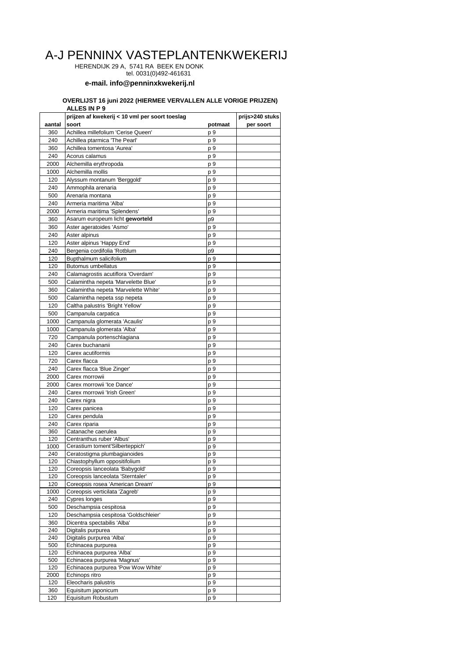## A-J PENNINX VASTEPLANTENKWEKERIJ

HERENDIJK 29 A, 5741 RA BEEK EN DONK

tel. 0031(0)492-461631

## **e-mail. info@penninxkwekerij.nl**

## **OVERLIJST 16 juni 2022 (HIERMEE VERVALLEN ALLE VORIGE PRIJZEN) ALLES IN P 9**

|             | prijzen af kwekerij < 10 vml per soort toeslag  |                        | prijs>240 stuks |
|-------------|-------------------------------------------------|------------------------|-----------------|
| aantal      | soort                                           | potmaat                | per soort       |
| 360         | Achillea millefolium 'Cerise Queen'             | p 9                    |                 |
| 240         | Achillea ptarmica 'The Pearl'                   | p 9                    |                 |
| 360         | Achillea tomentosa 'Aurea'                      | p 9                    |                 |
| 240         | Acorus calamus                                  | p 9                    |                 |
| 2000        | Alchemilla erythropoda                          | p 9                    |                 |
| 1000        | Alchemilla mollis                               | p 9                    |                 |
| 120         | Alyssum montanum 'Berggold'                     | p 9                    |                 |
| 240         | Ammophila arenaria                              | p 9                    |                 |
| 500         | Arenaria montana                                | p 9                    |                 |
| 240         | Armeria maritima 'Alba'                         | p 9                    |                 |
| 2000        | Armeria maritima 'Splendens'                    | p 9                    |                 |
| 360         | Asarum europeum licht geworteld                 | p9                     |                 |
| 360         | Aster ageratoides 'Asmo'                        | p 9                    |                 |
| 240         | Aster alpinus                                   | p 9                    |                 |
| 120         | Aster alpinus 'Happy End'                       | p 9                    |                 |
| 240         | Bergenia cordifolia 'Rotblum                    | p9                     |                 |
| 120         | Bupthalmum salicifolium                         | p 9                    |                 |
| 120         | <b>Butomus umbellatus</b>                       | p 9                    |                 |
| 240         | Calamagrostis acutiflora 'Overdam'              | p 9                    |                 |
| 500         | Calamintha nepeta 'Marvelette Blue'             | p 9                    |                 |
| 360         | Calamintha nepeta 'Marvelette White'            | p 9                    |                 |
| 500         | Calamintha nepeta ssp nepeta                    | p 9                    |                 |
| 120         | Caltha palustris 'Bright Yellow'                | p 9                    |                 |
| 500         | Campanula carpatica                             | p 9                    |                 |
| 1000        | Campanula glomerata 'Acaulis'                   | p 9                    |                 |
| 1000        | Campanula glomerata 'Alba'                      | p 9                    |                 |
| 720         | Campanula portenschlagiana                      | p 9                    |                 |
| 240         | Carex buchananii                                | p 9                    |                 |
| 120         | Carex acutiformis                               | p 9                    |                 |
| 720         | Carex flacca                                    | p 9                    |                 |
| 240         | Carex flacca 'Blue Zinger'                      | p 9                    |                 |
| 2000        | Carex morrowii                                  | p 9                    |                 |
| 2000        | Carex morrowii 'Ice Dance'                      | p 9                    |                 |
| 240         | Carex morrowii 'Irish Green'                    | p 9                    |                 |
| 240         | Carex nigra                                     | p 9                    |                 |
| 120         | Carex panicea                                   | p 9                    |                 |
| 120         | Carex pendula                                   | p 9                    |                 |
| 240         | Carex riparia                                   | p 9                    |                 |
| 360<br>120  | Catanache caerulea<br>Centranthus ruber 'Albus' | p 9<br>p 9             |                 |
| 1000        | Cerastium toment'Silberteppich'                 | p 9                    |                 |
| 240         | Ceratostigma plumbagianoides                    | p 9                    |                 |
| 120         | Chiastophyllum oppositifolium                   | p 9                    |                 |
| 120         | Coreopsis lanceolata 'Babygold'                 | p 9                    |                 |
| 120         | Coreopsis lanceolata 'Sterntaler'               | p 9                    |                 |
| 120         | Coreopsis rosea 'American Dream'                | p 9                    |                 |
| 1000        | Coreopsis verticilata 'Zagreb'                  | p 9                    |                 |
| 240         | Cypres longes                                   | p 9                    |                 |
| 500         | Deschampsia cespitosa                           | p 9                    |                 |
| 120         | Deschampsia cespitosa 'Goldschleier'            | p 9                    |                 |
| 360         | Dicentra spectabilis 'Alba'                     | p 9                    |                 |
| 240         | Digitalis purpurea                              | p 9                    |                 |
| 240         | Digitalis purpurea 'Alba'                       | p 9                    |                 |
| 500         | Echinacea purpurea                              | p 9                    |                 |
| 120         | Echinacea purpurea 'Alba'                       | p 9                    |                 |
| 500         | Echinacea purpurea 'Magnus'                     | p 9                    |                 |
| 120         | Echinacea purpurea 'Pow Wow White'              | p 9                    |                 |
| 2000<br>120 | Echinops ritro<br>Eleocharis palustris          | p 9<br>$p\overline{9}$ |                 |
| 360         | Equisitum japonicum                             | p9                     |                 |
| 120         | Equisitum Robustum                              | p 9                    |                 |
|             |                                                 |                        |                 |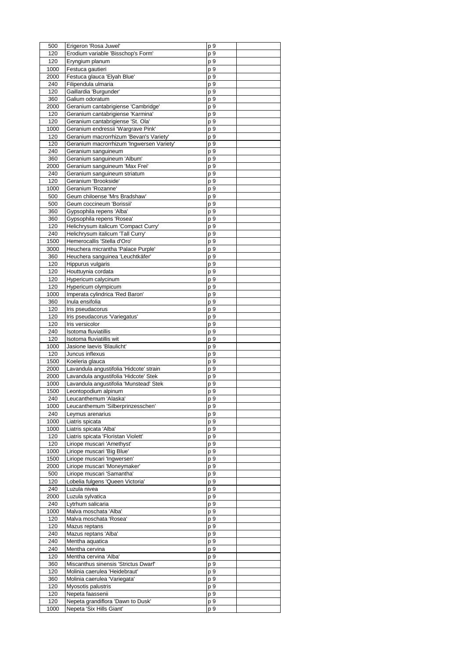| 500  | Erigeron 'Rosa Juwel'                                      | p 9        |  |
|------|------------------------------------------------------------|------------|--|
| 120  | Erodium variable 'Bisschop's Form'                         | p 9        |  |
| 120  | Eryngium planum                                            | p 9        |  |
| 1000 | Festuca gautieri                                           | p 9        |  |
| 2000 | Festuca glauca 'Elyah Blue'                                | p 9        |  |
| 240  | Filipendula ulmaria                                        | p 9        |  |
| 120  | Gaillardia 'Burgunder'                                     | p 9        |  |
| 360  | Galium odoratum                                            | p 9        |  |
| 2000 | Geranium cantabrigiense 'Cambridge'                        | p 9        |  |
| 120  | Geranium cantabrigiense 'Karmina'                          | p 9        |  |
| 120  | Geranium cantabrigiense 'St. Ola'                          | p 9        |  |
| 1000 | Geranium endressii 'Wargrave Pink'                         | p 9        |  |
| 120  | Geranium macrorrhizum 'Bevan's Variety'                    | p 9        |  |
| 120  | Geranium macrorrhizum 'Ingwersen Variety'                  | p 9        |  |
| 240  | Geranium sanguineum                                        | p 9        |  |
| 360  | Geranium sanguineum 'Album'                                | p 9        |  |
| 2000 | Geranium sanguineum 'Max Frei'                             | p 9        |  |
| 240  | Geranium sanguineum striatum                               | p 9        |  |
| 120  | Geranium 'Brookside'                                       | p 9        |  |
| 1000 | Geranium 'Rozanne'                                         | p 9        |  |
|      |                                                            |            |  |
| 500  | Geum chiloense 'Mrs Bradshaw'<br>Geum coccineum 'Borissii' | p 9        |  |
| 500  |                                                            | p 9        |  |
| 360  | Gypsophila repens 'Alba'                                   | p 9        |  |
| 360  | Gypsophila repens 'Rosea'                                  | p 9        |  |
| 120  | Helichrysum italicum 'Compact Curry'                       | p 9        |  |
| 240  | Helichrysum italicum 'Tall Curry'                          | p 9        |  |
| 1500 | Hemerocallis 'Stella d'Oro'                                | p 9        |  |
| 3000 | Heuchera micrantha 'Palace Purple'                         | p 9        |  |
| 360  | Heuchera sanguinea 'Leuchtkäfer'                           | p 9        |  |
| 120  | Hippurus vulgaris                                          | p 9        |  |
| 120  | Houttuynia cordata                                         | p 9        |  |
| 120  | Hypericum calycinum                                        | p 9        |  |
| 120  | Hypericum olympicum                                        | p 9        |  |
| 1000 | Imperata cylindrica 'Red Baron'                            | p 9        |  |
| 360  | Inula ensifolia                                            | <u>p 9</u> |  |
| 120  | Iris pseudacorus                                           | p 9        |  |
| 120  | Iris pseudacorus 'Variegatus'                              | p 9        |  |
| 120  | Iris versicolor                                            | p 9        |  |
| 240  | Isotoma fluviatillis                                       | p 9        |  |
| 120  | Isotoma fluviatillis wit                                   | <u>p 9</u> |  |
| 1000 | Jasione laevis 'Blaulicht'                                 | p 9        |  |
| 120  | Juncus inflexus                                            | p 9        |  |
| 1500 | Koeleria glauca                                            | p 9        |  |
| 2000 | Lavandula angustifolia 'Hidcote' strain                    | p 9        |  |
| 2000 | Lavandula angustifolia 'Hidcote' Stek                      | p 9        |  |
| 1000 | Lavandula angustifolia 'Munstead' Stek                     | p 9        |  |
| 1500 | Leontopodium alpinum                                       | p 9        |  |
| 240  | Leucanthemum 'Alaska'                                      | p 9        |  |
| 1000 | Leucanthemum 'Silberprinzesschen'                          | p 9        |  |
| 240  | Leymus arenarius                                           | p 9        |  |
| 1000 | Liatris spicata                                            | p 9        |  |
|      | Liatris spicata 'Alba'                                     |            |  |
| 1000 |                                                            | p 9        |  |
| 120  | Liatris spicata 'Floristan Violett'                        | p 9        |  |
| 120  | Liriope muscari 'Amethyst'                                 | p 9        |  |
| 1000 | Liriope muscari 'Big Blue'                                 | p 9        |  |
| 1500 | Liriope muscari 'Ingwersen'                                | p 9        |  |
| 2000 | Liriope muscari 'Moneymaker'                               | p 9        |  |
| 500  | Liriope muscari 'Samantha'                                 | p 9        |  |
| 120  | Lobelia fulgens 'Queen Victoria'                           | p 9        |  |
| 240  | Luzula nivea                                               | p 9        |  |
| 2000 | Luzula sylvatica                                           | p 9        |  |
| 240  | Lytrhum salicaria                                          | p 9        |  |
| 1000 | Malva moschata 'Alba'                                      | p 9        |  |
| 120  | Malva moschata 'Rosea'                                     | p 9        |  |
| 120  | Mazus reptans                                              | p 9        |  |
| 240  | Mazus reptans 'Alba'                                       | p 9        |  |
| 240  | Mentha aquatica                                            | p 9        |  |
| 240  | Mentha cervina                                             | p 9        |  |
| 120  | Mentha cervina 'Alba'                                      | p 9        |  |
| 360  | Miscanthus sinensis 'Strictus Dwarf'                       | p 9        |  |
| 120  | Molinia caerulea 'Heidebraut'                              | p 9        |  |
| 360  | Molinia caerulea 'Variegata'                               | p 9        |  |
| 120  | Myosotis palustris                                         | p 9        |  |
| 120  | Nepeta faassenii                                           | p 9        |  |
| 120  | Nepeta grandiflora 'Dawn to Dusk'                          | p 9        |  |
| 1000 | Nepeta 'Six Hills Giant'                                   | p 9        |  |
|      |                                                            |            |  |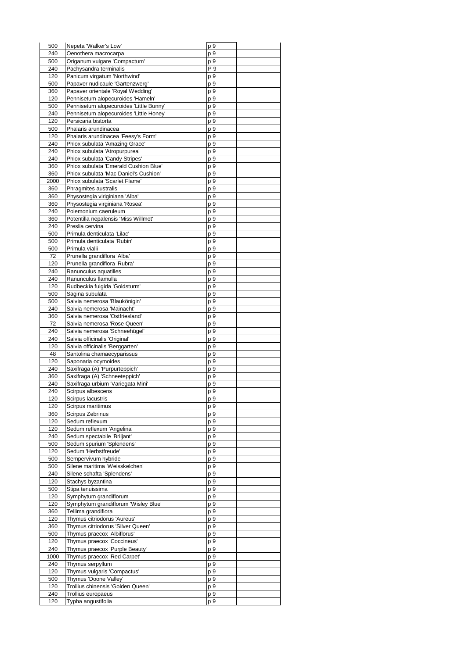| 500         | Nepeta 'Walker's Low'                                                   | p 9             |  |
|-------------|-------------------------------------------------------------------------|-----------------|--|
| 240         | Oenothera macrocarpa                                                    | p 9             |  |
| 500         | Origanum vulgare 'Compactum'                                            | p 9             |  |
| 240         | Pachysandra terminalis                                                  | P 9             |  |
| 120         | Panicum virgatum 'Northwind'                                            | p 9             |  |
| 500         | Papaver nudicaule 'Gartenzwerg'<br>Papaver orientale 'Royal Wedding'    | p 9<br>p 9      |  |
| 360<br>120  | Pennisetum alopecuroides 'Hameln'                                       | p 9             |  |
| 500         | Pennisetum alopecuroides 'Little Bunny'                                 | p 9             |  |
| 240         | Pennisetum alopecuroides 'Little Honey'                                 | p 9             |  |
| 120         | Persicaria bistorta                                                     | p 9             |  |
| 500         | Phalaris arundinacea                                                    | p 9             |  |
| 120         | Phalaris arundinacea 'Feesy's Form'                                     | p 9             |  |
| 240         | Phlox subulata 'Amazing Grace'                                          | p 9             |  |
| 240         | Phlox subulata 'Atropurpurea'                                           | p 9             |  |
| 240         | Phlox subulata 'Candy Stripes'                                          | p 9             |  |
| 360         | Phlox subulata 'Emerald Cushion Blue'                                   | p 9             |  |
| 360         | Phlox subulata 'Mac Daniel's Cushion'<br>Phlox subulata 'Scarlet Flame' | p 9             |  |
| 2000<br>360 | Phragmites australis                                                    | p 9<br>p 9      |  |
| 360         | Physostegia viriginiana 'Alba'                                          | p 9             |  |
| 360         | Physostegia virginiana 'Rosea'                                          | p 9             |  |
| 240         | Polemonium caeruleum                                                    | p 9             |  |
| 360         | Potentilla nepalensis 'Miss Willmot'                                    | p 9             |  |
| 240         | Preslia cervina                                                         | p 9             |  |
| 500         | Primula denticulata 'Lilac'                                             | p 9             |  |
| 500         | Primula denticulata 'Rubin'                                             | p 9             |  |
| 500         | Primula vialii                                                          | p 9             |  |
| 72          | Prunella grandiflora 'Alba'                                             | p 9             |  |
| 120<br>240  | Prunella grandiflora 'Rubra'<br>Ranunculus aquatilles                   | p 9<br>p 9      |  |
| 240         | Ranunculus flamulla                                                     | p 9             |  |
| 120         | Rudbeckia fulgida 'Goldsturm'                                           | p 9             |  |
| 500         | Sagina subulata                                                         | p 9             |  |
| 500         | Salvia nemerosa 'Blaukönigin'                                           | p 9             |  |
| 240         | Salvia nemerosa 'Mainacht'                                              | p 9             |  |
| 360         | Salvia nemerosa 'Ostfriesland'                                          | p 9             |  |
| 72<br>240   | Salvia nemerosa 'Rose Queen'<br>Salvia nemerosa 'Schneehügel'           | p 9             |  |
| 240         | Salvia officinalis 'Original'                                           | p 9<br>p 9      |  |
| 120         | Salvia officinalis 'Berggarten'                                         | p 9             |  |
| 48          | Santolina chamaecyparissus                                              | p 9             |  |
| 120         | Saponaria ocymoides                                                     | p 9             |  |
| 240         | Saxifraga (A) 'Purpurteppich'                                           | p 9             |  |
| 360         | Saxifraga (A) 'Schneeteppich'                                           | p 9             |  |
| 240<br>240  | Saxifraga urbium 'Variegata Mini'                                       | p 9             |  |
| 120         | Scirpus albescens<br>Scirpus lacustris                                  | p 9<br>p 9      |  |
| 120         | Scirpus maritimus                                                       | p 9             |  |
| 360         | Scirpus Zebrinus                                                        | p 9             |  |
| 120         | Sedum reflexum                                                          | $p\overline{9}$ |  |
| 120         | Sedum reflexum 'Angelina'                                               | p 9             |  |
| 240         | Sedum spectabile 'Briljant'                                             | p 9             |  |
| 500         | Sedum spurium 'Splendens'                                               | p 9             |  |
| 120         | Sedum 'Herbstfreude'                                                    | p 9             |  |
| 500         | Sempervivum hybride                                                     | $p\overline{9}$ |  |
| 500         | Silene maritima 'Weisskelchen'                                          | p 9             |  |
| 240<br>120  | Silene schafta 'Splendens'<br>Stachys byzantina                         | p 9<br>p 9      |  |
| 500         | Stipa tenuissima                                                        | p 9             |  |
| 120         | Symphytum grandiflorum                                                  | $p\overline{9}$ |  |
| 120         | Symphytum grandiflorum 'Wisley Blue'                                    | p 9             |  |
| 360         | Tellima grandiflora                                                     | p 9             |  |
| 120         | Thymus citriodorus 'Aureus'                                             | p 9             |  |
| 360         | Thymus citriodorus 'Silver Queen'                                       | p 9             |  |
| 500         | Thymus praecox 'Albiflorus'                                             | $p\overline{9}$ |  |
| 120<br>240  | Thymus praecox 'Coccineus'<br>Thymus praecox 'Purple Beauty'            | p 9             |  |
| 1000        | Thymus praecox 'Red Carpet'                                             | p 9<br>p 9      |  |
| 240         | Thymus serpyllum                                                        | p 9             |  |
| 120         | Thymus vulgaris 'Compactus'                                             | p 9             |  |
| 500         | Thymus 'Doone Valley'                                                   | p 9             |  |
| 120         | Trollius chinensis 'Golden Queen'                                       | p 9             |  |
| 240         | Trollius europaeus                                                      | p 9             |  |
| 120         | Typha angustifolia                                                      | p 9             |  |